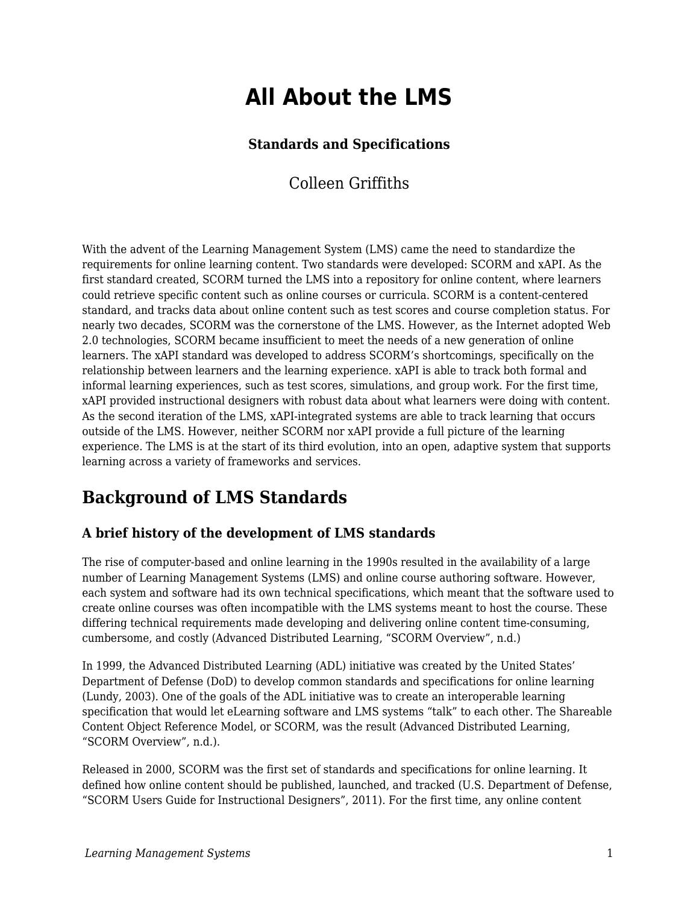# **All About the LMS**

### **Standards and Specifications**

Colleen Griffiths

With the advent of the Learning Management System (LMS) came the need to standardize the requirements for online learning content. Two standards were developed: SCORM and xAPI. As the first standard created, SCORM turned the LMS into a repository for online content, where learners could retrieve specific content such as online courses or curricula. SCORM is a content-centered standard, and tracks data about online content such as test scores and course completion status. For nearly two decades, SCORM was the cornerstone of the LMS. However, as the Internet adopted Web 2.0 technologies, SCORM became insufficient to meet the needs of a new generation of online learners. The xAPI standard was developed to address SCORM's shortcomings, specifically on the relationship between learners and the learning experience. xAPI is able to track both formal and informal learning experiences, such as test scores, simulations, and group work. For the first time, xAPI provided instructional designers with robust data about what learners were doing with content. As the second iteration of the LMS, xAPI-integrated systems are able to track learning that occurs outside of the LMS. However, neither SCORM nor xAPI provide a full picture of the learning experience. The LMS is at the start of its third evolution, into an open, adaptive system that supports learning across a variety of frameworks and services.

## **Background of LMS Standards**

### **A brief history of the development of LMS standards**

The rise of computer-based and online learning in the 1990s resulted in the availability of a large number of Learning Management Systems (LMS) and online course authoring software. However, each system and software had its own technical specifications, which meant that the software used to create online courses was often incompatible with the LMS systems meant to host the course. These differing technical requirements made developing and delivering online content time-consuming, cumbersome, and costly (Advanced Distributed Learning, "SCORM Overview", n.d.)

In 1999, the Advanced Distributed Learning (ADL) initiative was created by the United States' Department of Defense (DoD) to develop common standards and specifications for online learning (Lundy, 2003). One of the goals of the ADL initiative was to create an interoperable learning specification that would let eLearning software and LMS systems "talk" to each other. The Shareable Content Object Reference Model, or SCORM, was the result (Advanced Distributed Learning, "SCORM Overview", n.d.).

Released in 2000, SCORM was the first set of standards and specifications for online learning. It defined how online content should be published, launched, and tracked (U.S. Department of Defense, "SCORM Users Guide for Instructional Designers", 2011). For the first time, any online content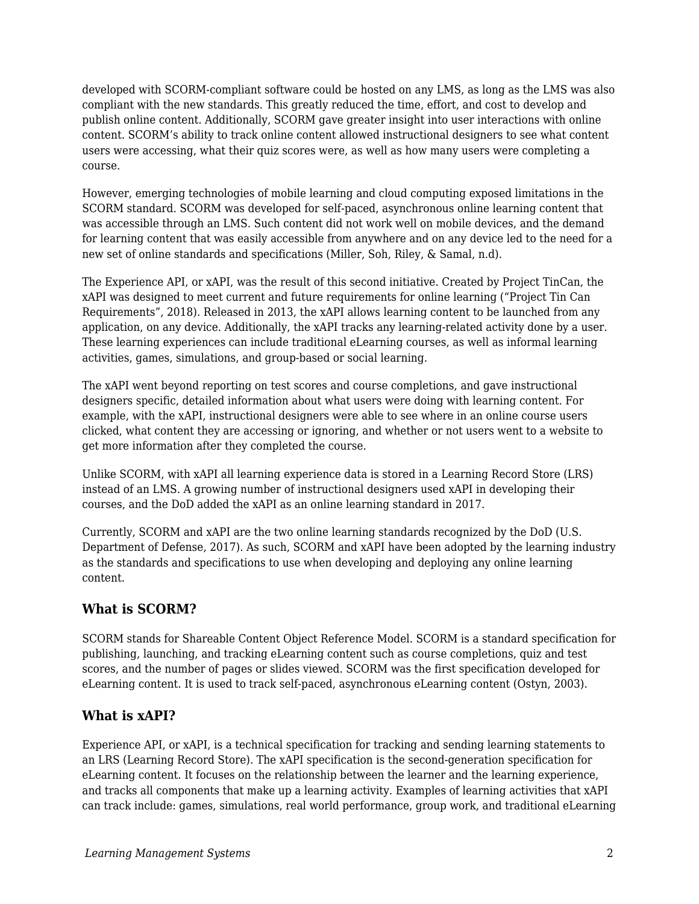developed with SCORM-compliant software could be hosted on any LMS, as long as the LMS was also compliant with the new standards. This greatly reduced the time, effort, and cost to develop and publish online content. Additionally, SCORM gave greater insight into user interactions with online content. SCORM's ability to track online content allowed instructional designers to see what content users were accessing, what their quiz scores were, as well as how many users were completing a course.

However, emerging technologies of mobile learning and cloud computing exposed limitations in the SCORM standard. SCORM was developed for self-paced, asynchronous online learning content that was accessible through an LMS. Such content did not work well on mobile devices, and the demand for learning content that was easily accessible from anywhere and on any device led to the need for a new set of online standards and specifications (Miller, Soh, Riley, & Samal, n.d).

The Experience API, or xAPI, was the result of this second initiative. Created by Project TinCan, the xAPI was designed to meet current and future requirements for online learning ("Project Tin Can Requirements", 2018). Released in 2013, the xAPI allows learning content to be launched from any application, on any device. Additionally, the xAPI tracks any learning-related activity done by a user. These learning experiences can include traditional eLearning courses, as well as informal learning activities, games, simulations, and group-based or social learning.

The xAPI went beyond reporting on test scores and course completions, and gave instructional designers specific, detailed information about what users were doing with learning content. For example, with the xAPI, instructional designers were able to see where in an online course users clicked, what content they are accessing or ignoring, and whether or not users went to a website to get more information after they completed the course.

Unlike SCORM, with xAPI all learning experience data is stored in a Learning Record Store (LRS) instead of an LMS. A growing number of instructional designers used xAPI in developing their courses, and the DoD added the xAPI as an online learning standard in 2017.

Currently, SCORM and xAPI are the two online learning standards recognized by the DoD (U.S. Department of Defense, 2017). As such, SCORM and xAPI have been adopted by the learning industry as the standards and specifications to use when developing and deploying any online learning content.

### **What is SCORM?**

SCORM stands for Shareable Content Object Reference Model. SCORM is a standard specification for publishing, launching, and tracking eLearning content such as course completions, quiz and test scores, and the number of pages or slides viewed. SCORM was the first specification developed for eLearning content. It is used to track self-paced, asynchronous eLearning content (Ostyn, 2003).

### **What is xAPI?**

Experience API, or xAPI, is a technical specification for tracking and sending learning statements to an LRS (Learning Record Store). The xAPI specification is the second-generation specification for eLearning content. It focuses on the relationship between the learner and the learning experience, and tracks all components that make up a learning activity. Examples of learning activities that xAPI can track include: games, simulations, real world performance, group work, and traditional eLearning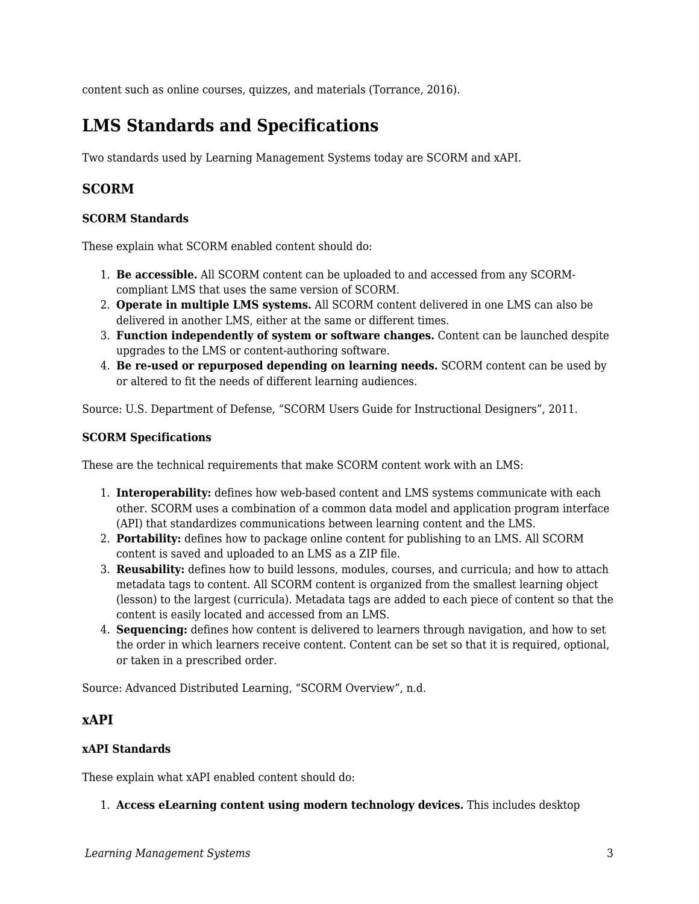content such as online courses, quizzes, and materials (Torrance, 2016).

## **LMS Standards and Specifications**

Two standards used by Learning Management Systems today are SCORM and xAPI.

### **SCORM**

#### **SCORM Standards**

These explain what SCORM enabled content should do:

- 1. **Be accessible.** All SCORM content can be uploaded to and accessed from any SCORMcompliant LMS that uses the same version of SCORM.
- 2. **Operate in multiple LMS systems.** All SCORM content delivered in one LMS can also be delivered in another LMS, either at the same or different times.
- 3. **Function independently of system or software changes.** Content can be launched despite upgrades to the LMS or content-authoring software.
- 4. **Be re-used or repurposed depending on learning needs.** SCORM content can be used by or altered to fit the needs of different learning audiences.

Source: U.S. Department of Defense, "SCORM Users Guide for Instructional Designers", 2011.

#### **SCORM Specifications**

These are the technical requirements that make SCORM content work with an LMS:

- 1. **Interoperability:** defines how web-based content and LMS systems communicate with each other. SCORM uses a combination of a common data model and application program interface (API) that standardizes communications between learning content and the LMS.
- 2. **Portability:** defines how to package online content for publishing to an LMS. All SCORM content is saved and uploaded to an LMS as a ZIP file.
- 3. **Reusability:** defines how to build lessons, modules, courses, and curricula; and how to attach metadata tags to content. All SCORM content is organized from the smallest learning object (lesson) to the largest (curricula). Metadata tags are added to each piece of content so that the content is easily located and accessed from an LMS.
- 4. **Sequencing:** defines how content is delivered to learners through navigation, and how to set the order in which learners receive content. Content can be set so that it is required, optional, or taken in a prescribed order.

Source: Advanced Distributed Learning, "SCORM Overview", n.d.

#### **xAPI**

#### **xAPI Standards**

These explain what xAPI enabled content should do:

1. **Access eLearning content using modern technology devices.** This includes desktop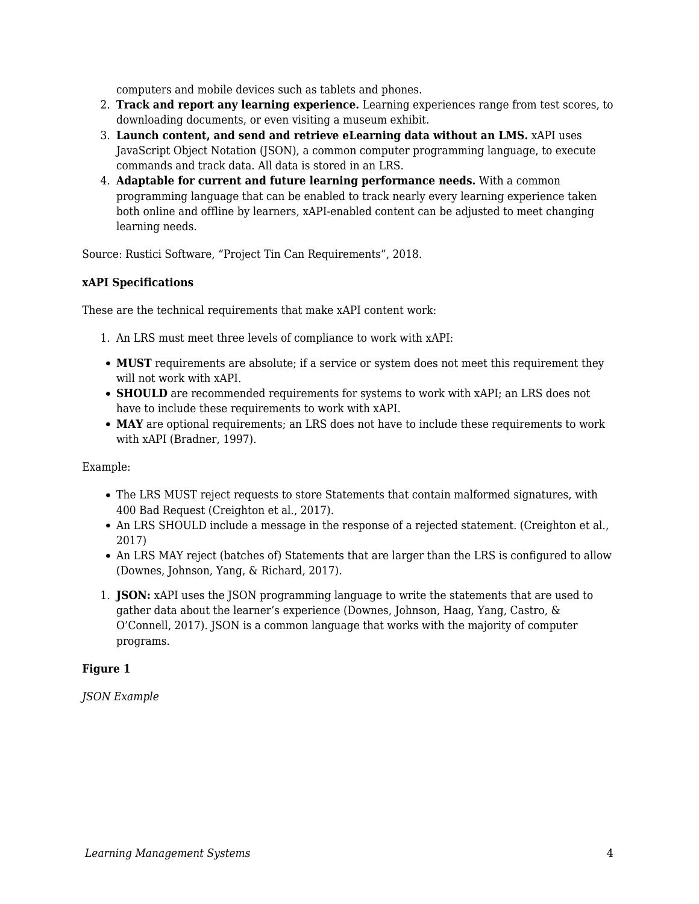computers and mobile devices such as tablets and phones.

- 2. **Track and report any learning experience.** Learning experiences range from test scores, to downloading documents, or even visiting a museum exhibit.
- 3. **Launch content, and send and retrieve eLearning data without an LMS.** xAPI uses JavaScript Object Notation (JSON), a common computer programming language, to execute commands and track data. All data is stored in an LRS.
- 4. **Adaptable for current and future learning performance needs.** With a common programming language that can be enabled to track nearly every learning experience taken both online and offline by learners, xAPI-enabled content can be adjusted to meet changing learning needs.

Source: Rustici Software, "Project Tin Can Requirements", 2018.

#### **xAPI Specifications**

These are the technical requirements that make xAPI content work:

- 1. An LRS must meet three levels of compliance to work with xAPI:
- **MUST** requirements are absolute; if a service or system does not meet this requirement they will not work with xAPI.
- **SHOULD** are recommended requirements for systems to work with xAPI; an LRS does not have to include these requirements to work with xAPI.
- **MAY** are optional requirements; an LRS does not have to include these requirements to work with xAPI (Bradner, 1997).

#### Example:

- The LRS MUST reject requests to store Statements that contain malformed signatures, with 400 Bad Request (Creighton et al., 2017).
- An LRS SHOULD include a message in the response of a rejected statement. (Creighton et al., 2017)
- An LRS MAY reject (batches of) Statements that are larger than the LRS is configured to allow (Downes, Johnson, Yang, & Richard, 2017).
- 1. **JSON:** xAPI uses the JSON programming language to write the statements that are used to gather data about the learner's experience (Downes, Johnson, Haag, Yang, Castro, & O'Connell, 2017). JSON is a common language that works with the majority of computer programs.

#### **Figure 1**

*JSON Example*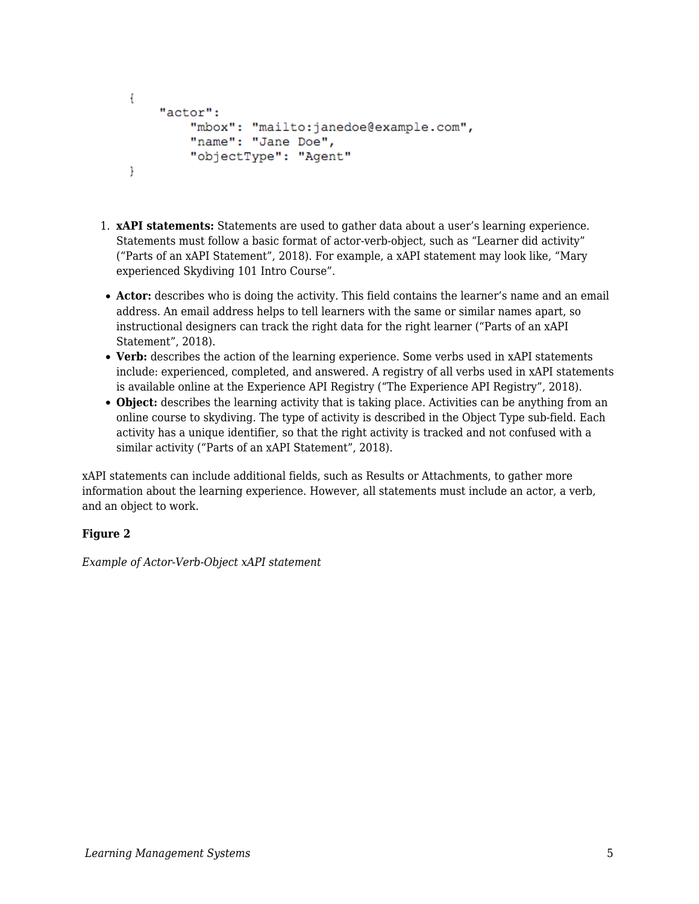```
€
    "actor":
        "mbox": "mailto:janedoe@example.com",
        "name": "Jane Doe",
        "objectType": "Agent"
Y
```
- 1. **xAPI statements:** Statements are used to gather data about a user's learning experience. Statements must follow a basic format of actor-verb-object, such as "Learner did activity" ("Parts of an xAPI Statement", 2018). For example, a xAPI statement may look like, "Mary experienced Skydiving 101 Intro Course".
- **Actor:** describes who is doing the activity. This field contains the learner's name and an email address. An email address helps to tell learners with the same or similar names apart, so instructional designers can track the right data for the right learner ("Parts of an xAPI Statement", 2018).
- **Verb:** describes the action of the learning experience. Some verbs used in xAPI statements include: experienced, completed, and answered. A registry of all verbs used in xAPI statements is available online at the Experience API Registry ("The Experience API Registry", 2018).
- **Object:** describes the learning activity that is taking place. Activities can be anything from an online course to skydiving. The type of activity is described in the Object Type sub-field. Each activity has a unique identifier, so that the right activity is tracked and not confused with a similar activity ("Parts of an xAPI Statement", 2018).

xAPI statements can include additional fields, such as Results or Attachments, to gather more information about the learning experience. However, all statements must include an actor, a verb, and an object to work.

#### **Figure 2**

*Example of Actor-Verb-Object xAPI statement*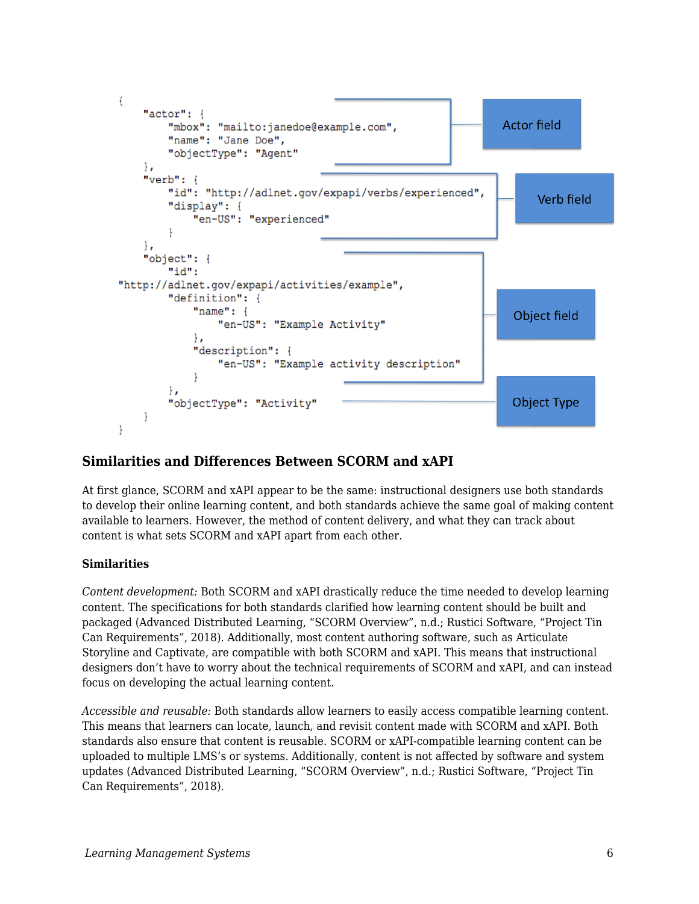

### **Similarities and Differences Between SCORM and xAPI**

At first glance, SCORM and xAPI appear to be the same: instructional designers use both standards to develop their online learning content, and both standards achieve the same goal of making content available to learners. However, the method of content delivery, and what they can track about content is what sets SCORM and xAPI apart from each other.

#### **Similarities**

*Content development:* Both SCORM and xAPI drastically reduce the time needed to develop learning content. The specifications for both standards clarified how learning content should be built and packaged (Advanced Distributed Learning, "SCORM Overview", n.d.; Rustici Software, "Project Tin Can Requirements", 2018). Additionally, most content authoring software, such as Articulate Storyline and Captivate, are compatible with both SCORM and xAPI. This means that instructional designers don't have to worry about the technical requirements of SCORM and xAPI, and can instead focus on developing the actual learning content.

*Accessible and reusable:* Both standards allow learners to easily access compatible learning content. This means that learners can locate, launch, and revisit content made with SCORM and xAPI. Both standards also ensure that content is reusable. SCORM or xAPI-compatible learning content can be uploaded to multiple LMS's or systems. Additionally, content is not affected by software and system updates (Advanced Distributed Learning, "SCORM Overview", n.d.; Rustici Software, "Project Tin Can Requirements", 2018).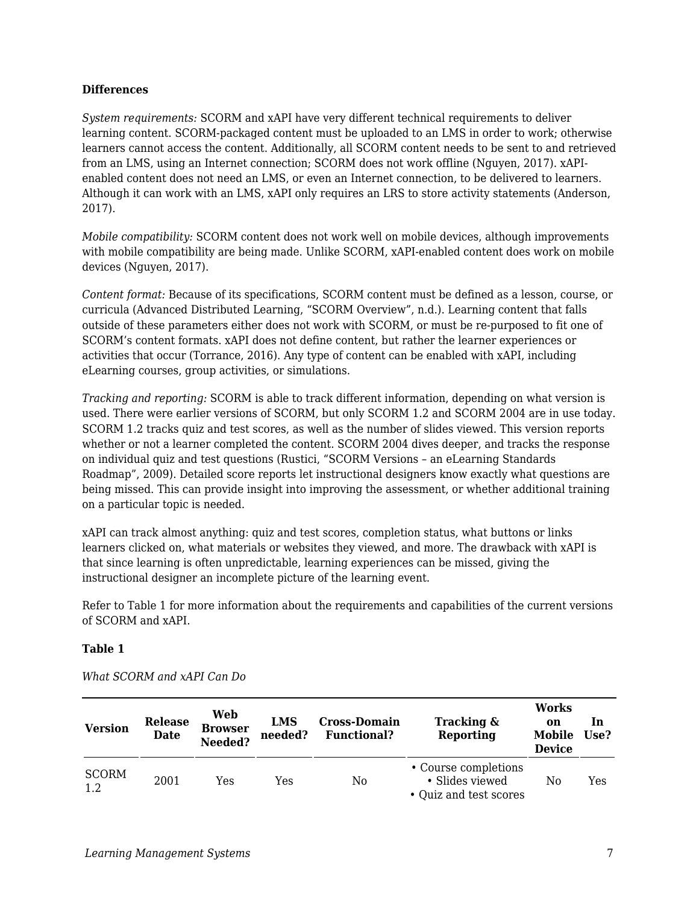#### **Differences**

*System requirements:* SCORM and xAPI have very different technical requirements to deliver learning content. SCORM-packaged content must be uploaded to an LMS in order to work; otherwise learners cannot access the content. Additionally, all SCORM content needs to be sent to and retrieved from an LMS, using an Internet connection; SCORM does not work offline (Nguyen, 2017). xAPIenabled content does not need an LMS, or even an Internet connection, to be delivered to learners. Although it can work with an LMS, xAPI only requires an LRS to store activity statements (Anderson, 2017).

*Mobile compatibility:* SCORM content does not work well on mobile devices, although improvements with mobile compatibility are being made. Unlike SCORM, xAPI-enabled content does work on mobile devices (Nguyen, 2017).

*Content format:* Because of its specifications, SCORM content must be defined as a lesson, course, or curricula (Advanced Distributed Learning, "SCORM Overview", n.d.). Learning content that falls outside of these parameters either does not work with SCORM, or must be re-purposed to fit one of SCORM's content formats. xAPI does not define content, but rather the learner experiences or activities that occur (Torrance, 2016). Any type of content can be enabled with xAPI, including eLearning courses, group activities, or simulations.

*Tracking and reporting:* SCORM is able to track different information, depending on what version is used. There were earlier versions of SCORM, but only SCORM 1.2 and SCORM 2004 are in use today. SCORM 1.2 tracks quiz and test scores, as well as the number of slides viewed. This version reports whether or not a learner completed the content. SCORM 2004 dives deeper, and tracks the response on individual quiz and test questions (Rustici, "SCORM Versions – an eLearning Standards Roadmap", 2009). Detailed score reports let instructional designers know exactly what questions are being missed. This can provide insight into improving the assessment, or whether additional training on a particular topic is needed.

xAPI can track almost anything: quiz and test scores, completion status, what buttons or links learners clicked on, what materials or websites they viewed, and more. The drawback with xAPI is that since learning is often unpredictable, learning experiences can be missed, giving the instructional designer an incomplete picture of the learning event.

Refer to Table 1 for more information about the requirements and capabilities of the current versions of SCORM and xAPI.

#### **Table 1**

| <b>Version</b>      | <b>Release</b><br><b>Date</b> | Web<br><b>Browser</b><br>Needed? | LMS<br>needed? | <b>Cross-Domain</b><br><b>Functional?</b> | Tracking &<br><b>Reporting</b>                                    | <b>Works</b><br>on<br>Mobile<br><b>Device</b> | In<br>Use? |
|---------------------|-------------------------------|----------------------------------|----------------|-------------------------------------------|-------------------------------------------------------------------|-----------------------------------------------|------------|
| <b>SCORM</b><br>1.2 | 2001                          | Yes                              | Yes            | No                                        | • Course completions<br>• Slides viewed<br>• Quiz and test scores | No                                            | Yes        |

*What SCORM and xAPI Can Do*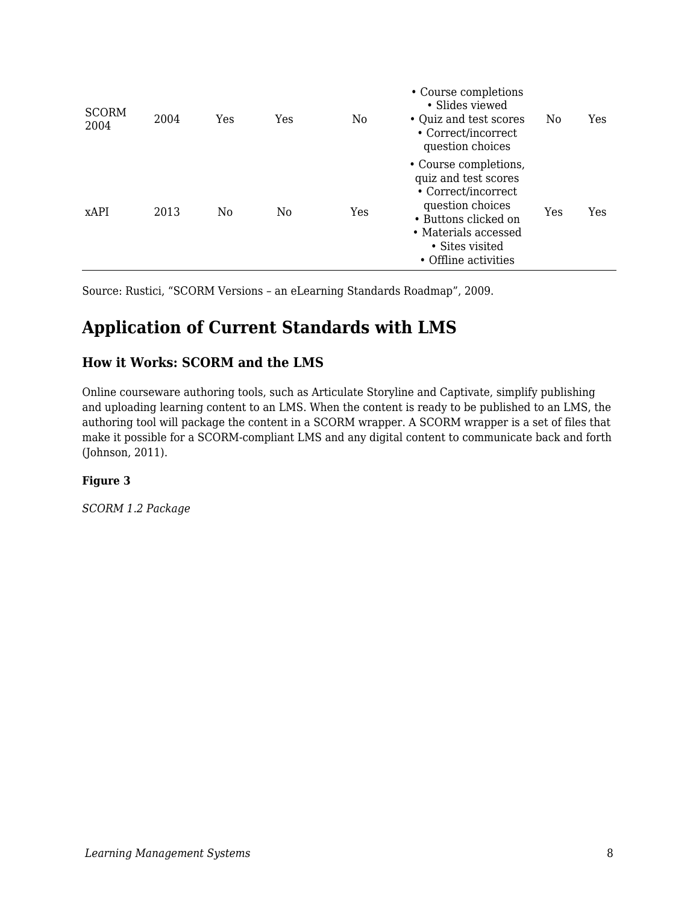| <b>SCORM</b><br>2004 | 2004 | Yes | Yes            | No  | • Course completions<br>• Slides viewed<br>• Quiz and test scores<br>• Correct/incorrect<br>question choices                                                                        | N0  | Yes |
|----------------------|------|-----|----------------|-----|-------------------------------------------------------------------------------------------------------------------------------------------------------------------------------------|-----|-----|
| <b>xAPI</b>          | 2013 | No  | N <sub>0</sub> | Yes | • Course completions,<br>quiz and test scores<br>• Correct/incorrect<br>question choices<br>• Buttons clicked on<br>• Materials accessed<br>• Sites visited<br>• Offline activities | Yes | Yes |

Source: Rustici, "SCORM Versions – an eLearning Standards Roadmap", 2009.

## **Application of Current Standards with LMS**

### **How it Works: SCORM and the LMS**

Online courseware authoring tools, such as Articulate Storyline and Captivate, simplify publishing and uploading learning content to an LMS. When the content is ready to be published to an LMS, the authoring tool will package the content in a SCORM wrapper. A SCORM wrapper is a set of files that make it possible for a SCORM-compliant LMS and any digital content to communicate back and forth (Johnson, 2011).

#### **Figure 3**

*SCORM 1.2 Package*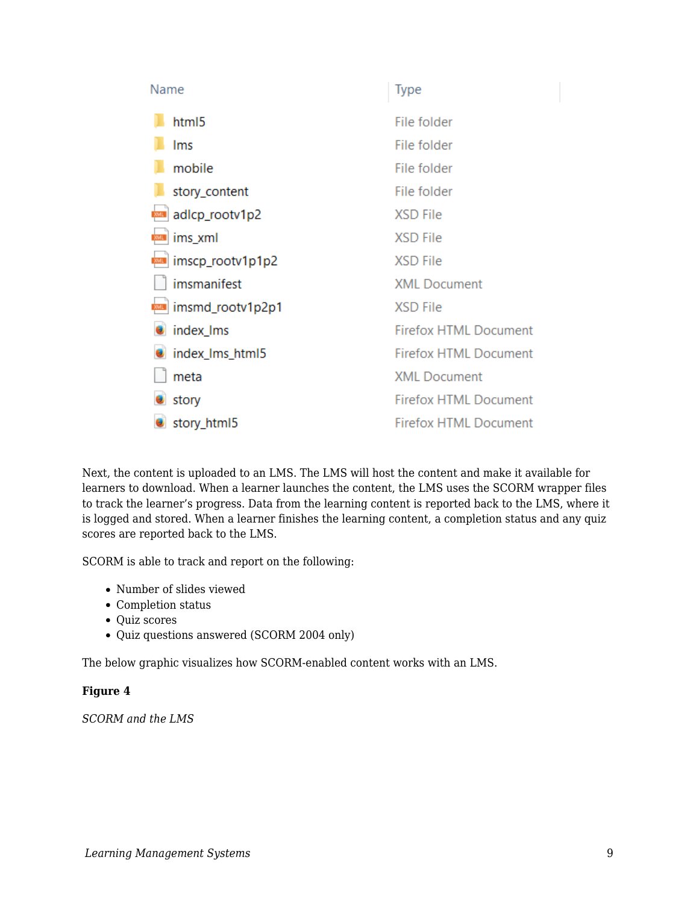| Name             | <b>Type</b>                  |
|------------------|------------------------------|
| html5            | File folder                  |
| Ims              | File folder                  |
| mobile           | File folder                  |
| story_content    | File folder                  |
| adlcp_rootv1p2   | <b>XSD File</b>              |
| ims_xml          | <b>XSD File</b>              |
| imscp_rootv1p1p2 | <b>XSD File</b>              |
| imsmanifest      | <b>XML Document</b>          |
| imsmd_rootv1p2p1 | <b>XSD File</b>              |
| index_Ims        | <b>Firefox HTML Document</b> |
| index_Ims_html5  | <b>Firefox HTML Document</b> |
| meta             | <b>XML Document</b>          |
| story            | <b>Firefox HTML Document</b> |
| story_html5      | <b>Firefox HTML Document</b> |

Next, the content is uploaded to an LMS. The LMS will host the content and make it available for learners to download. When a learner launches the content, the LMS uses the SCORM wrapper files to track the learner's progress. Data from the learning content is reported back to the LMS, where it is logged and stored. When a learner finishes the learning content, a completion status and any quiz scores are reported back to the LMS.

SCORM is able to track and report on the following:

- Number of slides viewed
- Completion status
- Quiz scores
- Quiz questions answered (SCORM 2004 only)

The below graphic visualizes how SCORM-enabled content works with an LMS.

#### **Figure 4**

*SCORM and the LMS*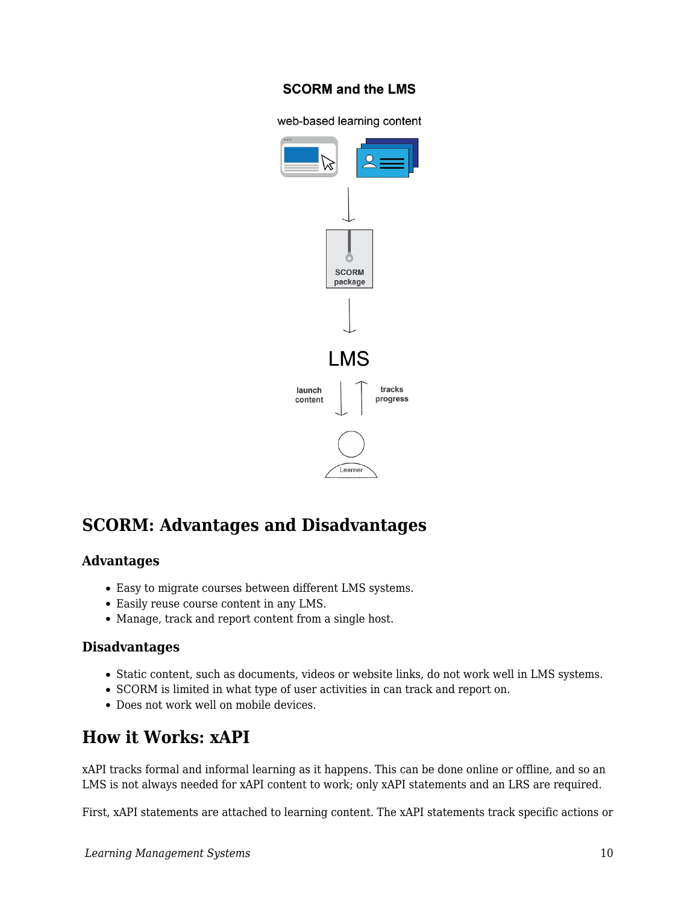### **SCORM and the LMS**

web-based learning content



## **SCORM: Advantages and Disadvantages**

#### **Advantages**

- Easy to migrate courses between different LMS systems.
- Easily reuse course content in any LMS.
- Manage, track and report content from a single host.

#### **Disadvantages**

- Static content, such as documents, videos or website links, do not work well in LMS systems.
- SCORM is limited in what type of user activities in can track and report on.
- Does not work well on mobile devices.

## **How it Works: xAPI**

xAPI tracks formal and informal learning as it happens. This can be done online or offline, and so an LMS is not always needed for xAPI content to work; only xAPI statements and an LRS are required.

First, xAPI statements are attached to learning content. The xAPI statements track specific actions or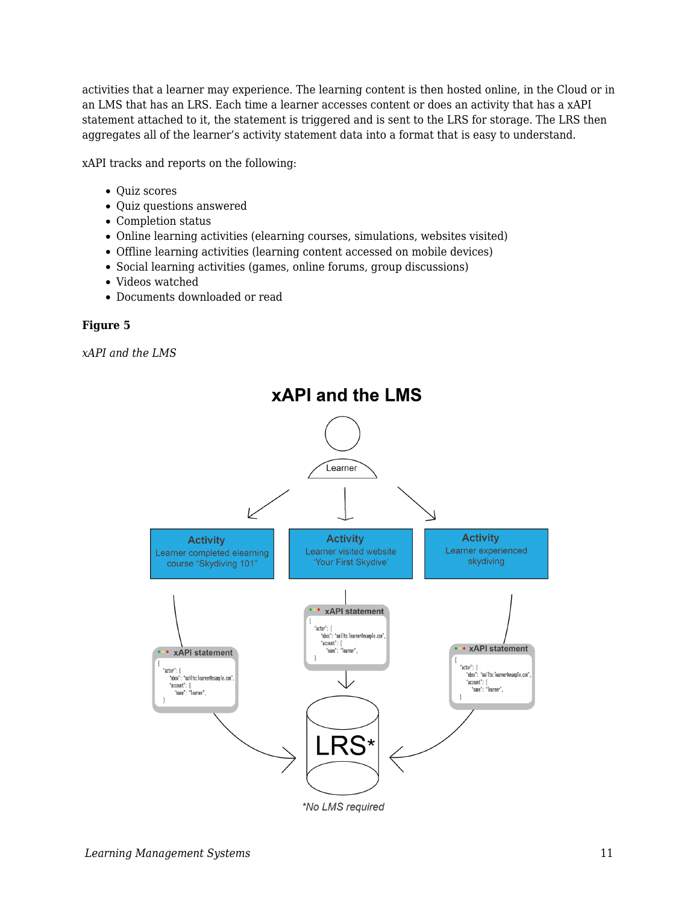activities that a learner may experience. The learning content is then hosted online, in the Cloud or in an LMS that has an LRS. Each time a learner accesses content or does an activity that has a xAPI statement attached to it, the statement is triggered and is sent to the LRS for storage. The LRS then aggregates all of the learner's activity statement data into a format that is easy to understand.

xAPI tracks and reports on the following:

- Quiz scores
- Quiz questions answered
- Completion status
- Online learning activities (elearning courses, simulations, websites visited)
- Offline learning activities (learning content accessed on mobile devices)
- Social learning activities (games, online forums, group discussions)
- Videos watched
- Documents downloaded or read

#### **Figure 5**

*xAPI and the LMS*

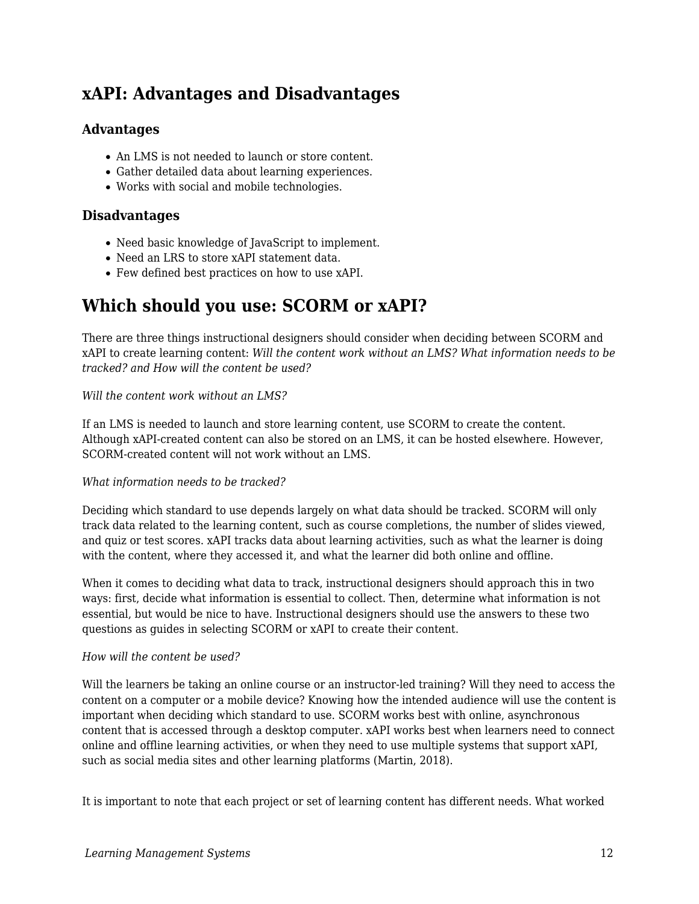## **xAPI: Advantages and Disadvantages**

### **Advantages**

- An LMS is not needed to launch or store content.
- Gather detailed data about learning experiences.
- Works with social and mobile technologies.

#### **Disadvantages**

- Need basic knowledge of JavaScript to implement.
- Need an LRS to store xAPI statement data.
- Few defined best practices on how to use xAPI.

## **Which should you use: SCORM or xAPI?**

There are three things instructional designers should consider when deciding between SCORM and xAPI to create learning content: *Will the content work without an LMS? What information needs to be tracked? and How will the content be used?*

#### *Will the content work without an LMS?*

If an LMS is needed to launch and store learning content, use SCORM to create the content. Although xAPI-created content can also be stored on an LMS, it can be hosted elsewhere. However, SCORM-created content will not work without an LMS.

#### *What information needs to be tracked?*

Deciding which standard to use depends largely on what data should be tracked. SCORM will only track data related to the learning content, such as course completions, the number of slides viewed, and quiz or test scores. xAPI tracks data about learning activities, such as what the learner is doing with the content, where they accessed it, and what the learner did both online and offline.

When it comes to deciding what data to track, instructional designers should approach this in two ways: first, decide what information is essential to collect. Then, determine what information is not essential, but would be nice to have. Instructional designers should use the answers to these two questions as guides in selecting SCORM or xAPI to create their content.

#### *How will the content be used?*

Will the learners be taking an online course or an instructor-led training? Will they need to access the content on a computer or a mobile device? Knowing how the intended audience will use the content is important when deciding which standard to use. SCORM works best with online, asynchronous content that is accessed through a desktop computer. xAPI works best when learners need to connect online and offline learning activities, or when they need to use multiple systems that support xAPI, such as social media sites and other learning platforms (Martin, 2018).

It is important to note that each project or set of learning content has different needs. What worked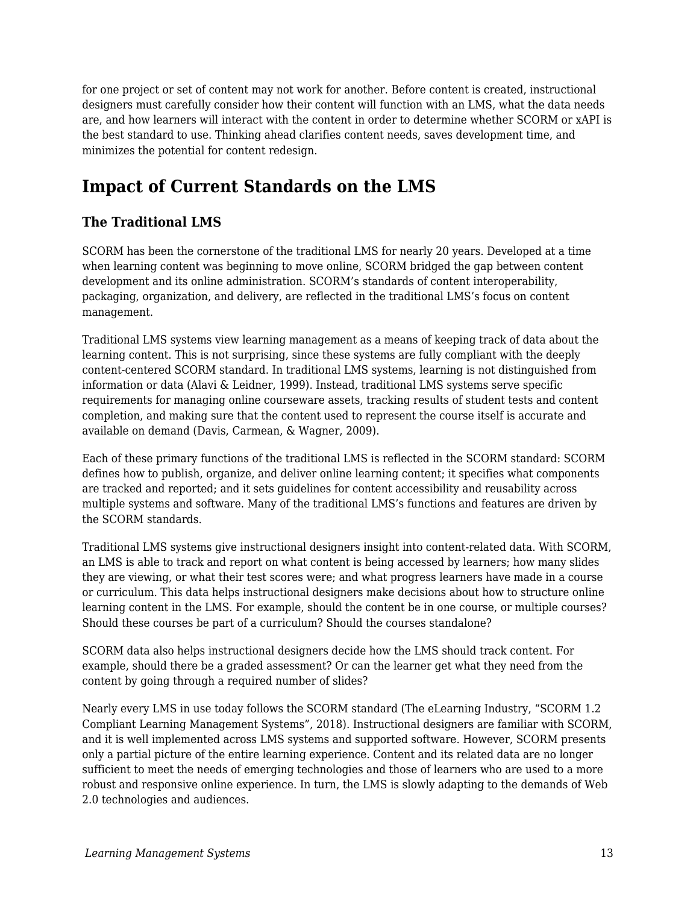for one project or set of content may not work for another. Before content is created, instructional designers must carefully consider how their content will function with an LMS, what the data needs are, and how learners will interact with the content in order to determine whether SCORM or xAPI is the best standard to use. Thinking ahead clarifies content needs, saves development time, and minimizes the potential for content redesign.

## **Impact of Current Standards on the LMS**

## **The Traditional LMS**

SCORM has been the cornerstone of the traditional LMS for nearly 20 years. Developed at a time when learning content was beginning to move online, SCORM bridged the gap between content development and its online administration. SCORM's standards of content interoperability, packaging, organization, and delivery, are reflected in the traditional LMS's focus on content management.

Traditional LMS systems view learning management as a means of keeping track of data about the learning content. This is not surprising, since these systems are fully compliant with the deeply content-centered SCORM standard. In traditional LMS systems, learning is not distinguished from information or data (Alavi & Leidner, 1999). Instead, traditional LMS systems serve specific requirements for managing online courseware assets, tracking results of student tests and content completion, and making sure that the content used to represent the course itself is accurate and available on demand (Davis, Carmean, & Wagner, 2009).

Each of these primary functions of the traditional LMS is reflected in the SCORM standard: SCORM defines how to publish, organize, and deliver online learning content; it specifies what components are tracked and reported; and it sets guidelines for content accessibility and reusability across multiple systems and software. Many of the traditional LMS's functions and features are driven by the SCORM standards.

Traditional LMS systems give instructional designers insight into content-related data. With SCORM, an LMS is able to track and report on what content is being accessed by learners; how many slides they are viewing, or what their test scores were; and what progress learners have made in a course or curriculum. This data helps instructional designers make decisions about how to structure online learning content in the LMS. For example, should the content be in one course, or multiple courses? Should these courses be part of a curriculum? Should the courses standalone?

SCORM data also helps instructional designers decide how the LMS should track content. For example, should there be a graded assessment? Or can the learner get what they need from the content by going through a required number of slides?

Nearly every LMS in use today follows the SCORM standard (The eLearning Industry, "SCORM 1.2 Compliant Learning Management Systems", 2018). Instructional designers are familiar with SCORM, and it is well implemented across LMS systems and supported software. However, SCORM presents only a partial picture of the entire learning experience. Content and its related data are no longer sufficient to meet the needs of emerging technologies and those of learners who are used to a more robust and responsive online experience. In turn, the LMS is slowly adapting to the demands of Web 2.0 technologies and audiences.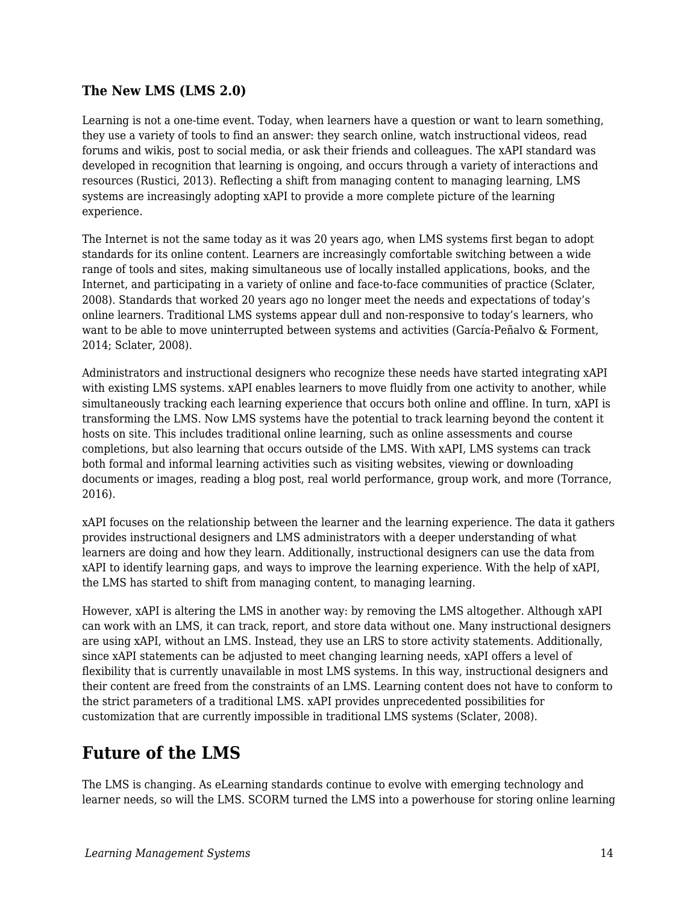### **The New LMS (LMS 2.0)**

Learning is not a one-time event. Today, when learners have a question or want to learn something, they use a variety of tools to find an answer: they search online, watch instructional videos, read forums and wikis, post to social media, or ask their friends and colleagues. The xAPI standard was developed in recognition that learning is ongoing, and occurs through a variety of interactions and resources (Rustici, 2013). Reflecting a shift from managing content to managing learning, LMS systems are increasingly adopting xAPI to provide a more complete picture of the learning experience.

The Internet is not the same today as it was 20 years ago, when LMS systems first began to adopt standards for its online content. Learners are increasingly comfortable switching between a wide range of tools and sites, making simultaneous use of locally installed applications, books, and the Internet, and participating in a variety of online and face-to-face communities of practice (Sclater, 2008). Standards that worked 20 years ago no longer meet the needs and expectations of today's online learners. Traditional LMS systems appear dull and non-responsive to today's learners, who want to be able to move uninterrupted between systems and activities (García-Peñalvo & Forment, 2014; Sclater, 2008).

Administrators and instructional designers who recognize these needs have started integrating xAPI with existing LMS systems. xAPI enables learners to move fluidly from one activity to another, while simultaneously tracking each learning experience that occurs both online and offline. In turn, xAPI is transforming the LMS. Now LMS systems have the potential to track learning beyond the content it hosts on site. This includes traditional online learning, such as online assessments and course completions, but also learning that occurs outside of the LMS. With xAPI, LMS systems can track both formal and informal learning activities such as visiting websites, viewing or downloading documents or images, reading a blog post, real world performance, group work, and more (Torrance, 2016).

xAPI focuses on the relationship between the learner and the learning experience. The data it gathers provides instructional designers and LMS administrators with a deeper understanding of what learners are doing and how they learn. Additionally, instructional designers can use the data from xAPI to identify learning gaps, and ways to improve the learning experience. With the help of xAPI, the LMS has started to shift from managing content, to managing learning.

However, xAPI is altering the LMS in another way: by removing the LMS altogether. Although xAPI can work with an LMS, it can track, report, and store data without one. Many instructional designers are using xAPI, without an LMS. Instead, they use an LRS to store activity statements. Additionally, since xAPI statements can be adjusted to meet changing learning needs, xAPI offers a level of flexibility that is currently unavailable in most LMS systems. In this way, instructional designers and their content are freed from the constraints of an LMS. Learning content does not have to conform to the strict parameters of a traditional LMS. xAPI provides unprecedented possibilities for customization that are currently impossible in traditional LMS systems (Sclater, 2008).

## **Future of the LMS**

The LMS is changing. As eLearning standards continue to evolve with emerging technology and learner needs, so will the LMS. SCORM turned the LMS into a powerhouse for storing online learning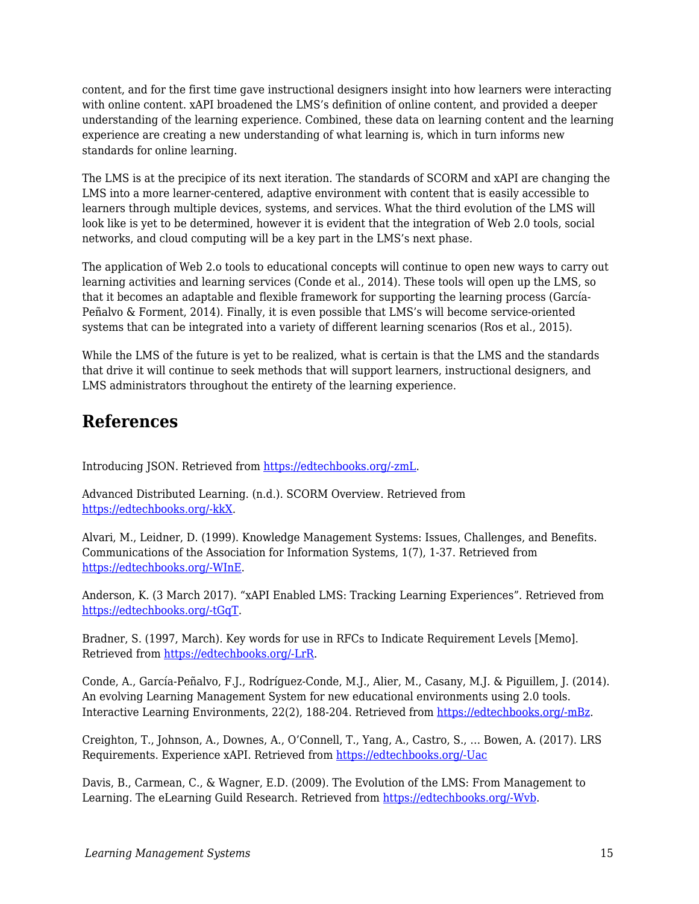content, and for the first time gave instructional designers insight into how learners were interacting with online content. xAPI broadened the LMS's definition of online content, and provided a deeper understanding of the learning experience. Combined, these data on learning content and the learning experience are creating a new understanding of what learning is, which in turn informs new standards for online learning.

The LMS is at the precipice of its next iteration. The standards of SCORM and xAPI are changing the LMS into a more learner-centered, adaptive environment with content that is easily accessible to learners through multiple devices, systems, and services. What the third evolution of the LMS will look like is yet to be determined, however it is evident that the integration of Web 2.0 tools, social networks, and cloud computing will be a key part in the LMS's next phase.

The application of Web 2.o tools to educational concepts will continue to open new ways to carry out learning activities and learning services (Conde et al., 2014). These tools will open up the LMS, so that it becomes an adaptable and flexible framework for supporting the learning process (García-Peñalvo & Forment, 2014). Finally, it is even possible that LMS's will become service-oriented systems that can be integrated into a variety of different learning scenarios (Ros et al., 2015).

While the LMS of the future is yet to be realized, what is certain is that the LMS and the standards that drive it will continue to seek methods that will support learners, instructional designers, and LMS administrators throughout the entirety of the learning experience.

## **References**

Introducing JSON. Retrieved from [https://edtechbooks.org/-zmL.](https://www.google.com/url?q=https://www.json.org&sa=D&ust=1585947361016000)

Advanced Distributed Learning. (n.d.). SCORM Overview. Retrieved from [https://edtechbooks.org/-kkX.](https://www.google.com/url?q=http://adlnet.gov/scorm&sa=D&ust=1585947361016000)

Alvari, M., Leidner, D. (1999). Knowledge Management Systems: Issues, Challenges, and Benefits. Communications of the Association for Information Systems, 1(7), 1-37. Retrieved from [https://edtechbooks.org/-WInE.](https://www.google.com/url?q=http://aisel.aisnet.org/cgi/viewcontent.cgi?article%3D2486%26context%3Dcais&sa=D&ust=1585947361017000)

Anderson, K. (3 March 2017). "xAPI Enabled LMS: Tracking Learning Experiences". Retrieved from [https://edtechbooks.org/-tGqT.](https://www.google.com/url?q=https://elearningindustry.com/xapi-enabled-lms-tracking-elearning-experiences&sa=D&ust=1585947361017000)

Bradner, S. (1997, March). Key words for use in RFCs to Indicate Requirement Levels [Memo]. Retrieved from [https://edtechbooks.org/-LrR](https://www.google.com/url?q=https://www.ietf.org/rfc/rfc2119.txt&sa=D&ust=1585947361018000).

Conde, A., García-Peñalvo, F.J., Rodríguez-Conde, M.J., Alier, M., Casany, M.J. & Piguillem, J. (2014). An evolving Learning Management System for new educational environments using 2.0 tools. Interactive Learning Environments, 22(2), 188-204. Retrieved from [https://edtechbooks.org/-mBz](https://www.google.com/url?q=https://www.tandfonline.com/doi/abs/10.1080/10494820.2012.745433&sa=D&ust=1585947361019000).

Creighton, T., Johnson, A., Downes, A., O'Connell, T., Yang, A., Castro, S., … Bowen, A. (2017). LRS Requirements. Experience xAPI. Retrieved from [https://edtechbooks.org/-Uac](https://www.google.com/url?q=https://github.com/adlnet/xAPI-Spec/blob/master/xAPI-Data.md&sa=D&ust=1585947361020000)

Davis, B., Carmean, C., & Wagner, E.D. (2009). The Evolution of the LMS: From Management to Learning. The eLearning Guild Research. Retrieved from [https://edtechbooks.org/-Wvb](https://www.google.com/url?q=https://www.blackboard.com/resources/proed/guild-lmsreport.pdf&sa=D&ust=1585947361020000).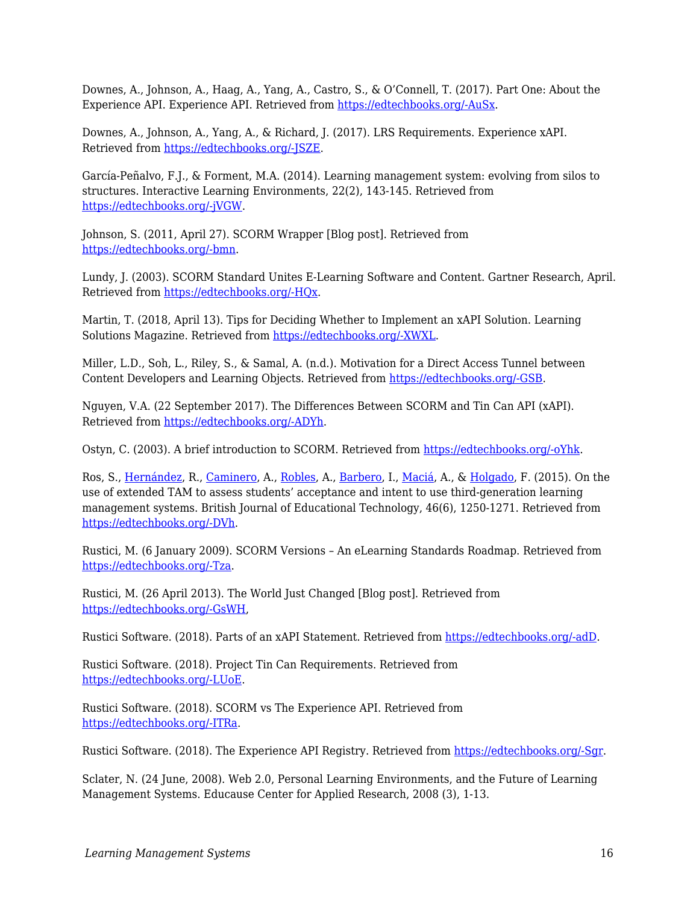Downes, A., Johnson, A., Haag, A., Yang, A., Castro, S., & O'Connell, T. (2017). Part One: About the Experience API. Experience API. Retrieved from [https://edtechbooks.org/-AuSx.](https://www.google.com/url?q=https://github.com/adlnet/xAPI-Spec/blob/master/xAPI-About.md%23partone&sa=D&ust=1585947361021000)

Downes, A., Johnson, A., Yang, A., & Richard, J. (2017). LRS Requirements. Experience xAPI. Retrieved from [https://edtechbooks.org/-JSZE.](https://www.google.com/url?q=https://github.com/adlnet/xAPI-Spec/blob/master/xAPI-Communication.md&sa=D&ust=1585947361022000)

García-Peñalvo, F.J., & Forment, M.A. (2014). Learning management system: evolving from silos to structures. Interactive Learning Environments, 22(2), 143-145. Retrieved from [https://edtechbooks.org/-jVGW](https://www.google.com/url?q=https://www.tandfonline.com/doi/abs/10.1080/10494820.2014.884790?journalCode%3Dnile20&sa=D&ust=1585947361022000).

Johnson, S. (2011, April 27). SCORM Wrapper [Blog post]. Retrieved from [https://edtechbooks.org/-bmn](https://www.google.com/url?q=https://elearning.net/scorm-wrapper-2&sa=D&ust=1585947361023000).

Lundy, J. (2003). SCORM Standard Unites E-Learning Software and Content. Gartner Research, April. Retrieved from [https://edtechbooks.org/-HQx](https://www.google.com/url?q=http://www.bus.umich.edu/KresgePublic/Journals/Gartner/research/114200/114233/114233.html&sa=D&ust=1585947361024000).

Martin, T. (2018, April 13). Tips for Deciding Whether to Implement an xAPI Solution. Learning Solutions Magazine. Retrieved from [https://edtechbooks.org/-XWXL.](https://www.google.com/url?q=https://www.learningsolutionsmag.com/articles/tips-for-deciding-whether-to-implement-an-xapi-solution&sa=D&ust=1585947361025000)

Miller, L.D., Soh, L., Riley, S., & Samal, A. (n.d.). Motivation for a Direct Access Tunnel between Content Developers and Learning Objects. Retrieved from [https://edtechbooks.org/-GSB](https://www.google.com/url?q=https://scorm.com/wp-content/assets/LETSI-white-papers/LETSI%2520White%2520Papers%2520-%2520Miller%2520-%2520Motivation%2520for%2520Direct%2520Access.pdf&sa=D&ust=1585947361026000).

Nguyen, V.A. (22 September 2017). The Differences Between SCORM and Tin Can API (xAPI). Retrieved from [https://edtechbooks.org/-ADYh.](https://www.google.com/url?q=https://atomisystems.com/elearning/differences-between-scorm-tin-can-api-xapi/&sa=D&ust=1585947361026000)

Ostyn, C. (2003). A brief introduction to SCORM. Retrieved from [https://edtechbooks.org/-oYhk](https://www.google.com/url?q=https://scorm.com/wp-content/assets/cookbook/SCORM%25201_2%2520Overview.htm&sa=D&ust=1585947361027000).

Ros, S., [Hernández,](https://www.google.com/url?q=https://onlinelibrary.wiley.com/action/doSearch?ContribAuthorStored%3DHern%25C3%25A1ndez%252C%2BRoberto&sa=D&ust=1585947361027000) R., [Caminero](https://www.google.com/url?q=https://onlinelibrary.wiley.com/action/doSearch?ContribAuthorStored%3DCaminero%252C%2BAgust%25C3%25ADn&sa=D&ust=1585947361028000), A., [Robles,](https://www.google.com/url?q=https://onlinelibrary.wiley.com/action/doSearch?ContribAuthorStored%3DRobles%252C%2BAntonio&sa=D&ust=1585947361028000) A., [Barbero](https://www.google.com/url?q=https://onlinelibrary.wiley.com/action/doSearch?ContribAuthorStored%3DBarbero%252C%2BIsabel&sa=D&ust=1585947361028000), I., [Maciá](https://www.google.com/url?q=https://onlinelibrary.wiley.com/action/doSearch?ContribAuthorStored%3DMaci%25C3%25A1%252C%2BAraceli&sa=D&ust=1585947361029000), A., & [Holgado](https://www.google.com/url?q=https://onlinelibrary.wiley.com/action/doSearch?ContribAuthorStored%3DHolgado%252C%2BFrancisco%2BPablo&sa=D&ust=1585947361029000), F. (2015). On the use of extended TAM to assess students' acceptance and intent to use third-generation learning management systems. British Journal of Educational Technology, 46(6), 1250-1271. Retrieved from [https://edtechbooks.org/-DVh.](https://www.google.com/url?q=https://onlinelibrary.wiley.com/doi/abs/10.1111/bjet.12199&sa=D&ust=1585947361029000)

Rustici, M. (6 January 2009). SCORM Versions – An eLearning Standards Roadmap. Retrieved from [https://edtechbooks.org/-Tza](https://www.google.com/url?q=https://scorm.com/scorm-explained/business-of-scorm/scorm-versions/&sa=D&ust=1585947361030000).

Rustici, M. (26 April 2013). The World Just Changed [Blog post]. Retrieved from [https://edtechbooks.org/-GsWH](https://www.google.com/url?q=https://scorm.com/blog/the-world-just-changed/&sa=D&ust=1585947361030000),

Rustici Software. (2018). Parts of an xAPI Statement. Retrieved from [https://edtechbooks.org/-adD.](https://www.google.com/url?q=https://xapi.com/statements-101/&sa=D&ust=1585947361031000)

Rustici Software. (2018). Project Tin Can Requirements. Retrieved from [https://edtechbooks.org/-LUoE.](https://www.google.com/url?q=https://xapi.com/project-tin-can-requirements/&sa=D&ust=1585947361031000)

Rustici Software. (2018). SCORM vs The Experience API. Retrieved from [https://edtechbooks.org/-ITRa](https://www.google.com/url?q=https://xapi.com/scorm-vs-the-experience-api-xapi/&sa=D&ust=1585947361032000).

Rustici Software. (2018). The Experience API Registry. Retrieved from [https://edtechbooks.org/-Sgr](https://www.google.com/url?q=https://registry.tincanapi.com&sa=D&ust=1585947361033000).

Sclater, N. (24 June, 2008). Web 2.0, Personal Learning Environments, and the Future of Learning Management Systems. Educause Center for Applied Research, 2008 (3), 1-13.